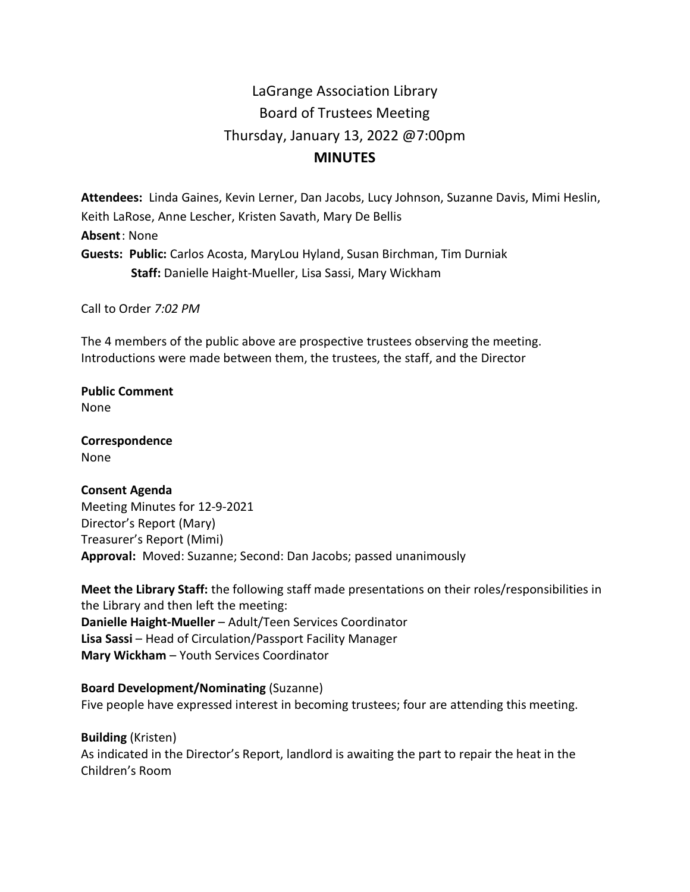# LaGrange Association Library Board of Trustees Meeting Thursday, January 13, 2022 @7:00pm **MINUTES**

**Attendees:** Linda Gaines, Kevin Lerner, Dan Jacobs, Lucy Johnson, Suzanne Davis, Mimi Heslin, Keith LaRose, Anne Lescher, Kristen Savath, Mary De Bellis **Absent**: None **Guests: Public:** Carlos Acosta, MaryLou Hyland, Susan Birchman, Tim Durniak  **Staff:** Danielle Haight-Mueller, Lisa Sassi, Mary Wickham

Call to Order *7:02 PM*

The 4 members of the public above are prospective trustees observing the meeting. Introductions were made between them, the trustees, the staff, and the Director

**Public Comment** None

**Correspondence** None

#### **Consent Agenda**

Meeting Minutes for 12-9-2021 Director's Report (Mary) Treasurer's Report (Mimi) **Approval:** Moved: Suzanne; Second: Dan Jacobs; passed unanimously

**Meet the Library Staff:** the following staff made presentations on their roles/responsibilities in the Library and then left the meeting: **Danielle Haight-Mueller** – Adult/Teen Services Coordinator **Lisa Sassi** – Head of Circulation/Passport Facility Manager **Mary Wickham** – Youth Services Coordinator

#### **Board Development/Nominating** (Suzanne)

Five people have expressed interest in becoming trustees; four are attending this meeting.

**Building** (Kristen) As indicated in the Director's Report, landlord is awaiting the part to repair the heat in the Children's Room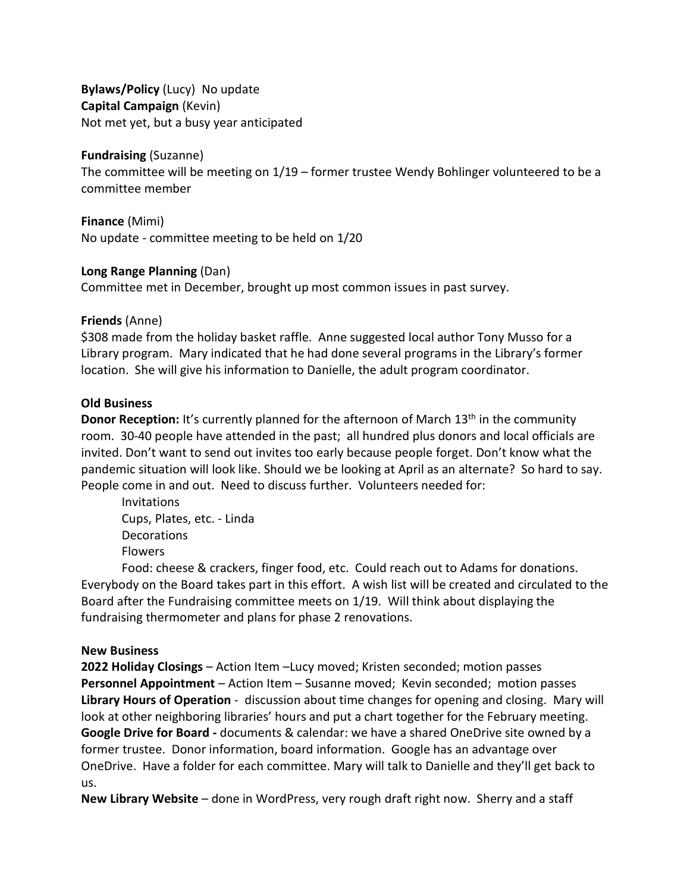**Bylaws/Policy** (Lucy) No update **Capital Campaign** (Kevin) Not met yet, but a busy year anticipated

#### **Fundraising** (Suzanne)

The committee will be meeting on 1/19 – former trustee Wendy Bohlinger volunteered to be a committee member

**Finance** (Mimi) No update - committee meeting to be held on 1/20

### **Long Range Planning** (Dan)

Committee met in December, brought up most common issues in past survey.

### **Friends** (Anne)

\$308 made from the holiday basket raffle. Anne suggested local author Tony Musso for a Library program. Mary indicated that he had done several programs in the Library's former location. She will give his information to Danielle, the adult program coordinator.

### **Old Business**

**Donor Reception:** It's currently planned for the afternoon of March 13<sup>th</sup> in the community room. 30-40 people have attended in the past; all hundred plus donors and local officials are invited. Don't want to send out invites too early because people forget. Don't know what the pandemic situation will look like. Should we be looking at April as an alternate? So hard to say. People come in and out. Need to discuss further. Volunteers needed for:

Invitations Cups, Plates, etc. - Linda Decorations Flowers

Food: cheese & crackers, finger food, etc. Could reach out to Adams for donations. Everybody on the Board takes part in this effort. A wish list will be created and circulated to the Board after the Fundraising committee meets on 1/19. Will think about displaying the fundraising thermometer and plans for phase 2 renovations.

# **New Business**

**2022 Holiday Closings** – Action Item –Lucy moved; Kristen seconded; motion passes **Personnel Appointment** – Action Item – Susanne moved; Kevin seconded; motion passes **Library Hours of Operation** - discussion about time changes for opening and closing. Mary will look at other neighboring libraries' hours and put a chart together for the February meeting. **Google Drive for Board -** documents & calendar: we have a shared OneDrive site owned by a former trustee. Donor information, board information. Google has an advantage over OneDrive. Have a folder for each committee. Mary will talk to Danielle and they'll get back to us.

**New Library Website** – done in WordPress, very rough draft right now. Sherry and a staff